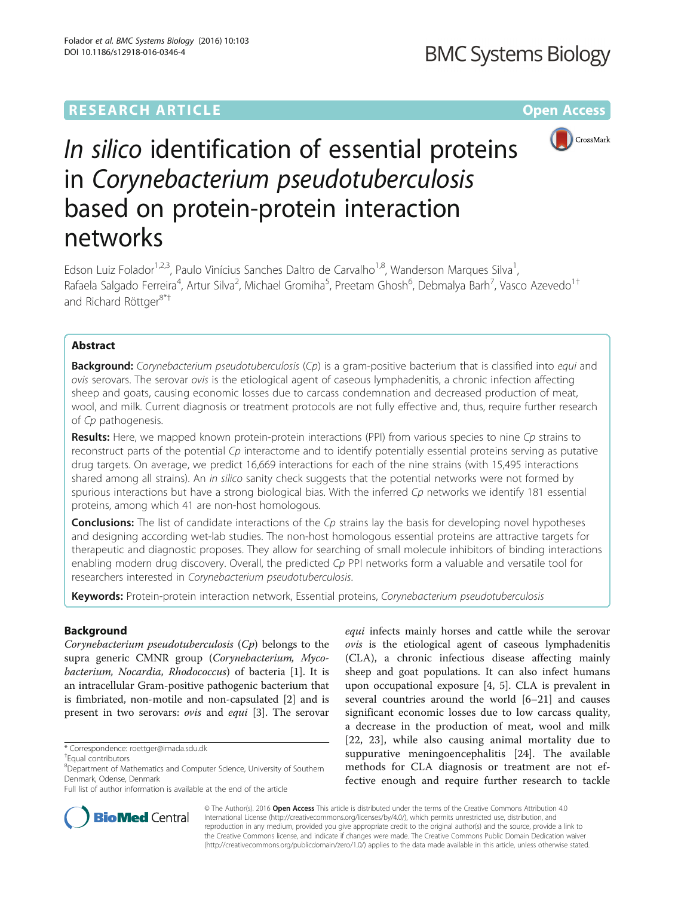## <span id="page-0-0"></span>**RESEARCH ARTICLE External Structure Community Community Community Community Community Community Community Community**

**BMC Systems Biology** 



# In silico identification of essential proteins in Corynebacterium pseudotuberculosis based on protein-protein interaction networks

Edson Luiz Folador<sup>1,2,3</sup>, Paulo Vinícius Sanches Daltro de Carvalho<sup>1,8</sup>, Wanderson Marques Silva<sup>1</sup>, , Rafaela Salgado Ferreira<sup>4</sup>, Artur Silva<sup>2</sup>, Michael Gromiha<sup>5</sup>, Preetam Ghosh<sup>6</sup>, Debmalya Barh<sup>7</sup>, Vasco Azevedo<sup>1†</sup> and Richard Röttger<sup>8\*†</sup>

## Abstract

**Background:** Corynebacterium pseudotuberculosis (Cp) is a gram-positive bacterium that is classified into equi and ovis serovars. The serovar ovis is the etiological agent of caseous lymphadenitis, a chronic infection affecting sheep and goats, causing economic losses due to carcass condemnation and decreased production of meat, wool, and milk. Current diagnosis or treatment protocols are not fully effective and, thus, require further research of Cp pathogenesis.

Results: Here, we mapped known protein-protein interactions (PPI) from various species to nine Cp strains to reconstruct parts of the potential  $Cp$  interactome and to identify potentially essential proteins serving as putative drug targets. On average, we predict 16,669 interactions for each of the nine strains (with 15,495 interactions shared among all strains). An in silico sanity check suggests that the potential networks were not formed by spurious interactions but have a strong biological bias. With the inferred Cp networks we identify 181 essential proteins, among which 41 are non-host homologous.

**Conclusions:** The list of candidate interactions of the C<sub>p</sub> strains lay the basis for developing novel hypotheses and designing according wet-lab studies. The non-host homologous essential proteins are attractive targets for therapeutic and diagnostic proposes. They allow for searching of small molecule inhibitors of binding interactions enabling modern drug discovery. Overall, the predicted Cp PPI networks form a valuable and versatile tool for researchers interested in Corynebacterium pseudotuberculosis.

Keywords: Protein-protein interaction network, Essential proteins, Corynebacterium pseudotuberculosis

## Background

Corynebacterium pseudotuberculosis (Cp) belongs to the supra generic CMNR group (Corynebacterium, Mycobacterium, Nocardia, Rhodococcus) of bacteria [\[1](#page-6-0)]. It is an intracellular Gram-positive pathogenic bacterium that is fimbriated, non-motile and non-capsulated [\[2](#page-6-0)] and is present in two serovars: ovis and equi [\[3\]](#page-6-0). The serovar

\* Correspondence: [roettger@imada.sdu.dk](mailto:roettger@imada.sdu.dk) †

equi infects mainly horses and cattle while the serovar ovis is the etiological agent of caseous lymphadenitis (CLA), a chronic infectious disease affecting mainly sheep and goat populations. It can also infect humans upon occupational exposure [[4, 5\]](#page-6-0). CLA is prevalent in several countries around the world [[6](#page-6-0)–[21](#page-6-0)] and causes significant economic losses due to low carcass quality, a decrease in the production of meat, wool and milk [[22, 23\]](#page-6-0), while also causing animal mortality due to suppurative meningoencephalitis [[24\]](#page-6-0). The available methods for CLA diagnosis or treatment are not effective enough and require further research to tackle



© The Author(s). 2016 Open Access This article is distributed under the terms of the Creative Commons Attribution 4.0 International License [\(http://creativecommons.org/licenses/by/4.0/](http://creativecommons.org/licenses/by/4.0/)), which permits unrestricted use, distribution, and reproduction in any medium, provided you give appropriate credit to the original author(s) and the source, provide a link to the Creative Commons license, and indicate if changes were made. The Creative Commons Public Domain Dedication waiver [\(http://creativecommons.org/publicdomain/zero/1.0/](http://creativecommons.org/publicdomain/zero/1.0/)) applies to the data made available in this article, unless otherwise stated.

Equal contributors

<sup>&</sup>lt;sup>8</sup>Department of Mathematics and Computer Science, University of Southern Denmark, Odense, Denmark

Full list of author information is available at the end of the article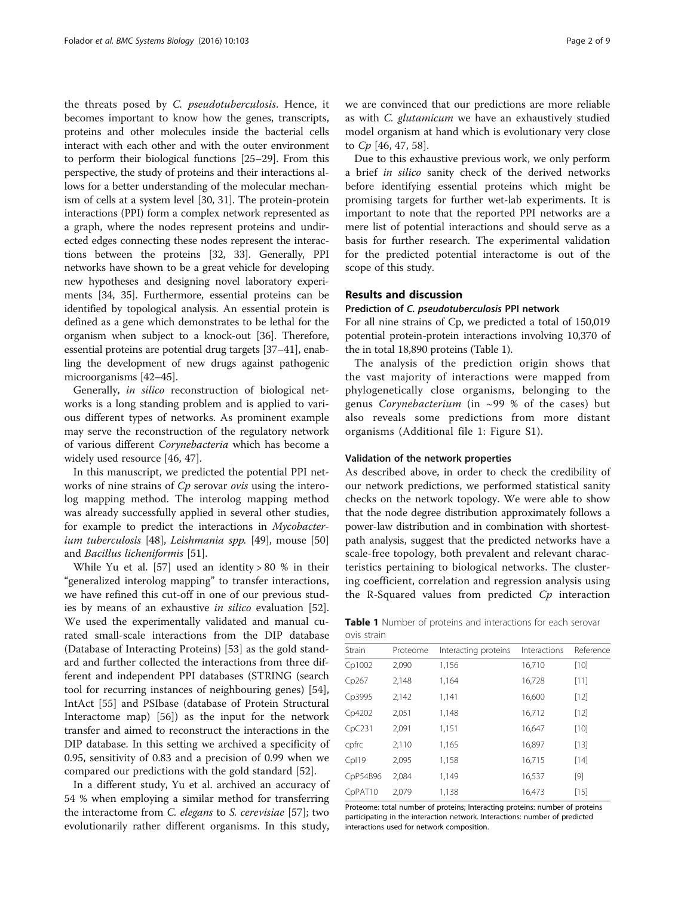the threats posed by C. pseudotuberculosis. Hence, it becomes important to know how the genes, transcripts, proteins and other molecules inside the bacterial cells interact with each other and with the outer environment to perform their biological functions [[25](#page-6-0)–[29\]](#page-7-0). From this perspective, the study of proteins and their interactions allows for a better understanding of the molecular mechanism of cells at a system level [[30](#page-7-0), [31\]](#page-7-0). The protein-protein interactions (PPI) form a complex network represented as a graph, where the nodes represent proteins and undirected edges connecting these nodes represent the interactions between the proteins [\[32](#page-7-0), [33](#page-7-0)]. Generally, PPI networks have shown to be a great vehicle for developing new hypotheses and designing novel laboratory experiments [[34](#page-7-0), [35](#page-7-0)]. Furthermore, essential proteins can be identified by topological analysis. An essential protein is defined as a gene which demonstrates to be lethal for the organism when subject to a knock-out [\[36\]](#page-7-0). Therefore, essential proteins are potential drug targets [\[37](#page-7-0)–[41](#page-7-0)], enabling the development of new drugs against pathogenic microorganisms [[42](#page-7-0)–[45\]](#page-7-0).

Generally, in silico reconstruction of biological networks is a long standing problem and is applied to various different types of networks. As prominent example may serve the reconstruction of the regulatory network of various different Corynebacteria which has become a widely used resource [\[46, 47\]](#page-7-0).

In this manuscript, we predicted the potential PPI networks of nine strains of Cp serovar ovis using the interolog mapping method. The interolog mapping method was already successfully applied in several other studies, for example to predict the interactions in Mycobacterium tuberculosis [[48](#page-7-0)], Leishmania spp. [[49\]](#page-7-0), mouse [[50](#page-7-0)] and Bacillus licheniformis [\[51\]](#page-7-0).

While Yu et al. [\[57](#page-7-0)] used an identity  $> 80$  % in their "generalized interolog mapping" to transfer interactions, we have refined this cut-off in one of our previous studies by means of an exhaustive in silico evaluation [\[52](#page-7-0)]. We used the experimentally validated and manual curated small-scale interactions from the DIP database (Database of Interacting Proteins) [\[53](#page-7-0)] as the gold standard and further collected the interactions from three different and independent PPI databases (STRING (search tool for recurring instances of neighbouring genes) [\[54](#page-7-0)], IntAct [\[55\]](#page-7-0) and PSIbase (database of Protein Structural Interactome map) [\[56\]](#page-7-0)) as the input for the network transfer and aimed to reconstruct the interactions in the DIP database. In this setting we archived a specificity of 0.95, sensitivity of 0.83 and a precision of 0.99 when we compared our predictions with the gold standard [\[52](#page-7-0)].

In a different study, Yu et al. archived an accuracy of 54 % when employing a similar method for transferring the interactome from C. elegans to S. cerevisiae [\[57](#page-7-0)]; two evolutionarily rather different organisms. In this study, we are convinced that our predictions are more reliable as with C. glutamicum we have an exhaustively studied model organism at hand which is evolutionary very close to Cp [[46, 47](#page-7-0), [58](#page-7-0)].

Due to this exhaustive previous work, we only perform a brief in silico sanity check of the derived networks before identifying essential proteins which might be promising targets for further wet-lab experiments. It is important to note that the reported PPI networks are a mere list of potential interactions and should serve as a basis for further research. The experimental validation for the predicted potential interactome is out of the scope of this study.

## Results and discussion

## Prediction of C. pseudotuberculosis PPI network

For all nine strains of Cp, we predicted a total of 150,019 potential protein-protein interactions involving 10,370 of the in total 18,890 proteins (Table 1).

The analysis of the prediction origin shows that the vast majority of interactions were mapped from phylogenetically close organisms, belonging to the genus Corynebacterium (in  $\sim$ 99 % of the cases) but also reveals some predictions from more distant organisms (Additional file [1](#page-5-0): Figure S1).

#### Validation of the network properties

As described above, in order to check the credibility of our network predictions, we performed statistical sanity checks on the network topology. We were able to show that the node degree distribution approximately follows a power-law distribution and in combination with shortestpath analysis, suggest that the predicted networks have a scale-free topology, both prevalent and relevant characteristics pertaining to biological networks. The clustering coefficient, correlation and regression analysis using the R-Squared values from predicted  $C_p$  interaction

Table 1 Number of proteins and interactions for each serovar ovis strain

| Strain   | Proteome | Interacting proteins | Interactions | Reference |  |
|----------|----------|----------------------|--------------|-----------|--|
| Cp1002   | 2,090    | 1,156                | 16,710       | $[10]$    |  |
| Cp267    | 2,148    | 1,164                | 16,728       | [11]      |  |
| Cp3995   | 2,142    | 1,141                | 16,600       | $[12]$    |  |
| Cp4202   | 2,051    | 1,148                | 16,712       | $[12]$    |  |
| CpC231   | 2,091    | 1,151                | 16,647       | $[10]$    |  |
| cpfrc    | 2,110    | 1,165                | 16,897       | $[13]$    |  |
| Cpl19    | 2,095    | 1,158                | 16,715       | $[14]$    |  |
| CpP54B96 | 2,084    | 1,149                | 16,537       | $[9]$     |  |
| CpPAT10  | 2,079    | 1,138                | 16,473       | $[15]$    |  |
|          |          |                      |              |           |  |

Proteome: total number of proteins; Interacting proteins: number of proteins participating in the interaction network. Interactions: number of predicted interactions used for network composition.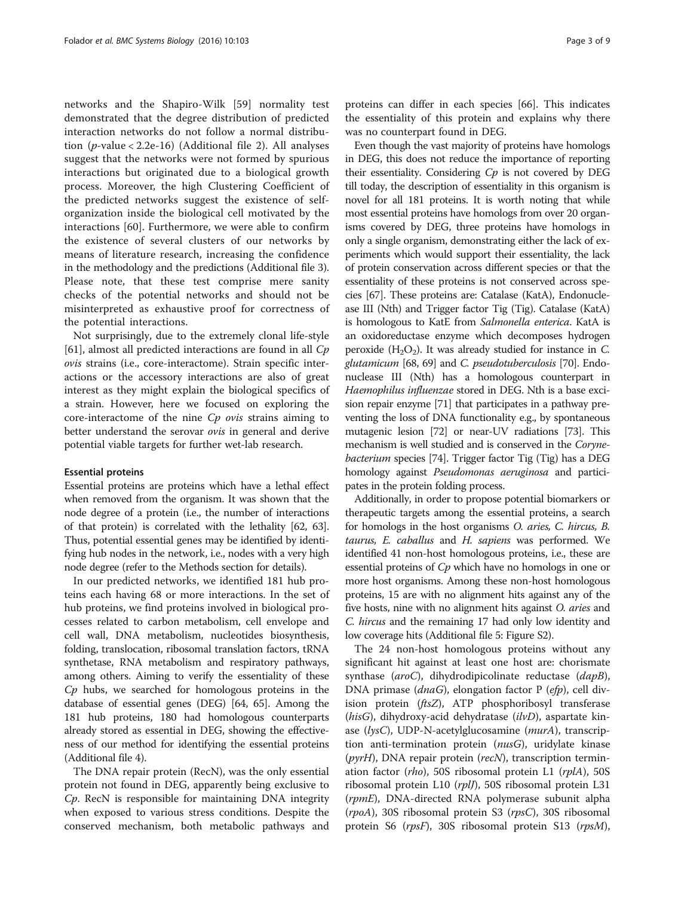networks and the Shapiro-Wilk [[59\]](#page-7-0) normality test demonstrated that the degree distribution of predicted interaction networks do not follow a normal distribution  $(p$ -value < [2](#page-5-0).2e-16) (Additional file 2). All analyses suggest that the networks were not formed by spurious interactions but originated due to a biological growth process. Moreover, the high Clustering Coefficient of the predicted networks suggest the existence of selforganization inside the biological cell motivated by the interactions [\[60](#page-7-0)]. Furthermore, we were able to confirm the existence of several clusters of our networks by means of literature research, increasing the confidence in the methodology and the predictions (Additional file [3](#page-5-0)). Please note, that these test comprise mere sanity checks of the potential networks and should not be misinterpreted as exhaustive proof for correctness of the potential interactions.

Not surprisingly, due to the extremely clonal life-style [[61\]](#page-7-0), almost all predicted interactions are found in all  $C_p$ ovis strains (i.e., core-interactome). Strain specific interactions or the accessory interactions are also of great interest as they might explain the biological specifics of a strain. However, here we focused on exploring the core-interactome of the nine *Cp ovis* strains aiming to better understand the serovar ovis in general and derive potential viable targets for further wet-lab research.

#### Essential proteins

Essential proteins are proteins which have a lethal effect when removed from the organism. It was shown that the node degree of a protein (i.e., the number of interactions of that protein) is correlated with the lethality [\[62](#page-7-0), [63](#page-7-0)]. Thus, potential essential genes may be identified by identifying hub nodes in the network, i.e., nodes with a very high node degree (refer to the [Methods](#page-3-0) section for details).

In our predicted networks, we identified 181 hub proteins each having 68 or more interactions. In the set of hub proteins, we find proteins involved in biological processes related to carbon metabolism, cell envelope and cell wall, DNA metabolism, nucleotides biosynthesis, folding, translocation, ribosomal translation factors, tRNA synthetase, RNA metabolism and respiratory pathways, among others. Aiming to verify the essentiality of these  $C_p$  hubs, we searched for homologous proteins in the database of essential genes (DEG) [\[64, 65](#page-7-0)]. Among the 181 hub proteins, 180 had homologous counterparts already stored as essential in DEG, showing the effectiveness of our method for identifying the essential proteins (Additional file [4](#page-5-0)).

The DNA repair protein (RecN), was the only essential protein not found in DEG, apparently being exclusive to Cp. RecN is responsible for maintaining DNA integrity when exposed to various stress conditions. Despite the conserved mechanism, both metabolic pathways and

proteins can differ in each species [\[66\]](#page-7-0). This indicates the essentiality of this protein and explains why there was no counterpart found in DEG.

Even though the vast majority of proteins have homologs in DEG, this does not reduce the importance of reporting their essentiality. Considering  $C_p$  is not covered by DEG till today, the description of essentiality in this organism is novel for all 181 proteins. It is worth noting that while most essential proteins have homologs from over 20 organisms covered by DEG, three proteins have homologs in only a single organism, demonstrating either the lack of experiments which would support their essentiality, the lack of protein conservation across different species or that the essentiality of these proteins is not conserved across species [\[67](#page-7-0)]. These proteins are: Catalase (KatA), Endonuclease III (Nth) and Trigger factor Tig (Tig). Catalase (KatA) is homologous to KatE from Salmonella enterica. KatA is an oxidoreductase enzyme which decomposes hydrogen peroxide  $(H_2O_2)$ . It was already studied for instance in C. glutamicum [\[68, 69](#page-7-0)] and C. pseudotuberculosis [[70](#page-7-0)]. Endonuclease III (Nth) has a homologous counterpart in Haemophilus influenzae stored in DEG. Nth is a base excision repair enzyme [\[71\]](#page-7-0) that participates in a pathway preventing the loss of DNA functionality e.g., by spontaneous mutagenic lesion [[72](#page-7-0)] or near-UV radiations [\[73\]](#page-7-0). This mechanism is well studied and is conserved in the Corynebacterium species [\[74\]](#page-7-0). Trigger factor Tig (Tig) has a DEG homology against Pseudomonas aeruginosa and participates in the protein folding process.

Additionally, in order to propose potential biomarkers or therapeutic targets among the essential proteins, a search for homologs in the host organisms O. aries, C. hircus, B. taurus, E. caballus and H. sapiens was performed. We identified 41 non-host homologous proteins, i.e., these are essential proteins of  $C_p$  which have no homologs in one or more host organisms. Among these non-host homologous proteins, 15 are with no alignment hits against any of the five hosts, nine with no alignment hits against O. aries and C. hircus and the remaining 17 had only low identity and low coverage hits (Additional file [5:](#page-5-0) Figure S2).

The 24 non-host homologous proteins without any significant hit against at least one host are: chorismate synthase (aroC), dihydrodipicolinate reductase (dapB), DNA primase (dnaG), elongation factor P (efp), cell division protein (ftsZ), ATP phosphoribosyl transferase (hisG), dihydroxy-acid dehydratase  $(ilvD)$ , aspartate kinase (lysC), UDP-N-acetylglucosamine (murA), transcription anti-termination protein (nusG), uridylate kinase ( $pyrH$ ), DNA repair protein ( $recN$ ), transcription termination factor (rho), 50S ribosomal protein L1 (rplA), 50S ribosomal protein L10 (rplJ), 50S ribosomal protein L31 (rpmE), DNA-directed RNA polymerase subunit alpha (rpoA), 30S ribosomal protein S3 (rpsC), 30S ribosomal protein S6 (rpsF), 30S ribosomal protein S13 (rpsM),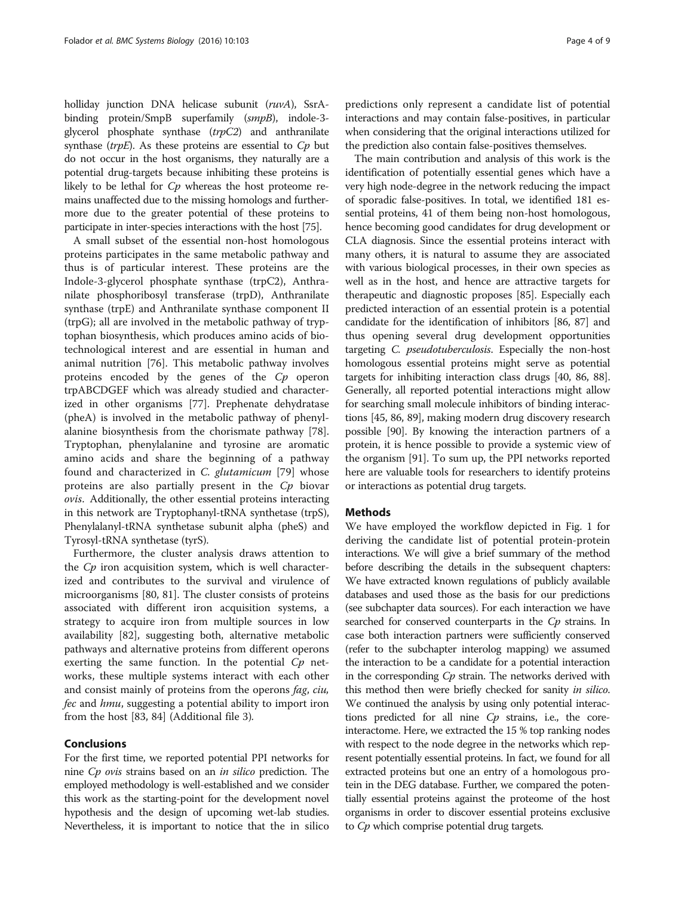<span id="page-3-0"></span>holliday junction DNA helicase subunit (ruvA), SsrAbinding protein/SmpB superfamily (smpB), indole-3 glycerol phosphate synthase  $(trpC2)$  and anthranilate synthase (trpE). As these proteins are essential to  $C_p$  but do not occur in the host organisms, they naturally are a potential drug-targets because inhibiting these proteins is likely to be lethal for  $Cp$  whereas the host proteome remains unaffected due to the missing homologs and furthermore due to the greater potential of these proteins to participate in inter-species interactions with the host [\[75\]](#page-7-0).

A small subset of the essential non-host homologous proteins participates in the same metabolic pathway and thus is of particular interest. These proteins are the Indole-3-glycerol phosphate synthase (trpC2), Anthranilate phosphoribosyl transferase (trpD), Anthranilate synthase (trpE) and Anthranilate synthase component II (trpG); all are involved in the metabolic pathway of tryptophan biosynthesis, which produces amino acids of biotechnological interest and are essential in human and animal nutrition [[76\]](#page-7-0). This metabolic pathway involves proteins encoded by the genes of the Cp operon trpABCDGEF which was already studied and characterized in other organisms [[77\]](#page-7-0). Prephenate dehydratase (pheA) is involved in the metabolic pathway of phenylalanine biosynthesis from the chorismate pathway [\[78](#page-8-0)]. Tryptophan, phenylalanine and tyrosine are aromatic amino acids and share the beginning of a pathway found and characterized in C. glutamicum [\[79](#page-8-0)] whose proteins are also partially present in the  $C_p$  biovar ovis. Additionally, the other essential proteins interacting in this network are Tryptophanyl-tRNA synthetase (trpS), Phenylalanyl-tRNA synthetase subunit alpha (pheS) and Tyrosyl-tRNA synthetase (tyrS).

Furthermore, the cluster analysis draws attention to the Cp iron acquisition system, which is well characterized and contributes to the survival and virulence of microorganisms [\[80](#page-8-0), [81](#page-8-0)]. The cluster consists of proteins associated with different iron acquisition systems, a strategy to acquire iron from multiple sources in low availability [\[82](#page-8-0)], suggesting both, alternative metabolic pathways and alternative proteins from different operons exerting the same function. In the potential  $C_p$  networks, these multiple systems interact with each other and consist mainly of proteins from the operons *fag, ciu,* fec and hmu, suggesting a potential ability to import iron from the host [[83, 84](#page-8-0)] (Additional file [3](#page-5-0)).

## Conclusions

For the first time, we reported potential PPI networks for nine Cp ovis strains based on an in silico prediction. The employed methodology is well-established and we consider this work as the starting-point for the development novel hypothesis and the design of upcoming wet-lab studies. Nevertheless, it is important to notice that the in silico

predictions only represent a candidate list of potential interactions and may contain false-positives, in particular when considering that the original interactions utilized for the prediction also contain false-positives themselves.

The main contribution and analysis of this work is the identification of potentially essential genes which have a very high node-degree in the network reducing the impact of sporadic false-positives. In total, we identified 181 essential proteins, 41 of them being non-host homologous, hence becoming good candidates for drug development or CLA diagnosis. Since the essential proteins interact with many others, it is natural to assume they are associated with various biological processes, in their own species as well as in the host, and hence are attractive targets for therapeutic and diagnostic proposes [[85\]](#page-8-0). Especially each predicted interaction of an essential protein is a potential candidate for the identification of inhibitors [[86](#page-8-0), [87\]](#page-8-0) and thus opening several drug development opportunities targeting C. pseudotuberculosis. Especially the non-host homologous essential proteins might serve as potential targets for inhibiting interaction class drugs [\[40](#page-7-0), [86, 88](#page-8-0)]. Generally, all reported potential interactions might allow for searching small molecule inhibitors of binding interactions [\[45,](#page-7-0) [86](#page-8-0), [89\]](#page-8-0), making modern drug discovery research possible [\[90](#page-8-0)]. By knowing the interaction partners of a protein, it is hence possible to provide a systemic view of the organism [[91](#page-8-0)]. To sum up, the PPI networks reported here are valuable tools for researchers to identify proteins or interactions as potential drug targets.

## Methods

We have employed the workflow depicted in Fig. [1](#page-4-0) for deriving the candidate list of potential protein-protein interactions. We will give a brief summary of the method before describing the details in the subsequent chapters: We have extracted known regulations of publicly available databases and used those as the basis for our predictions (see subchapter data sources). For each interaction we have searched for conserved counterparts in the Cp strains. In case both interaction partners were sufficiently conserved (refer to the subchapter interolog mapping) we assumed the interaction to be a candidate for a potential interaction in the corresponding  $Cp$  strain. The networks derived with this method then were briefly checked for sanity in silico. We continued the analysis by using only potential interactions predicted for all nine  $C_p$  strains, i.e., the coreinteractome. Here, we extracted the 15 % top ranking nodes with respect to the node degree in the networks which represent potentially essential proteins. In fact, we found for all extracted proteins but one an entry of a homologous protein in the DEG database. Further, we compared the potentially essential proteins against the proteome of the host organisms in order to discover essential proteins exclusive to *Cp* which comprise potential drug targets.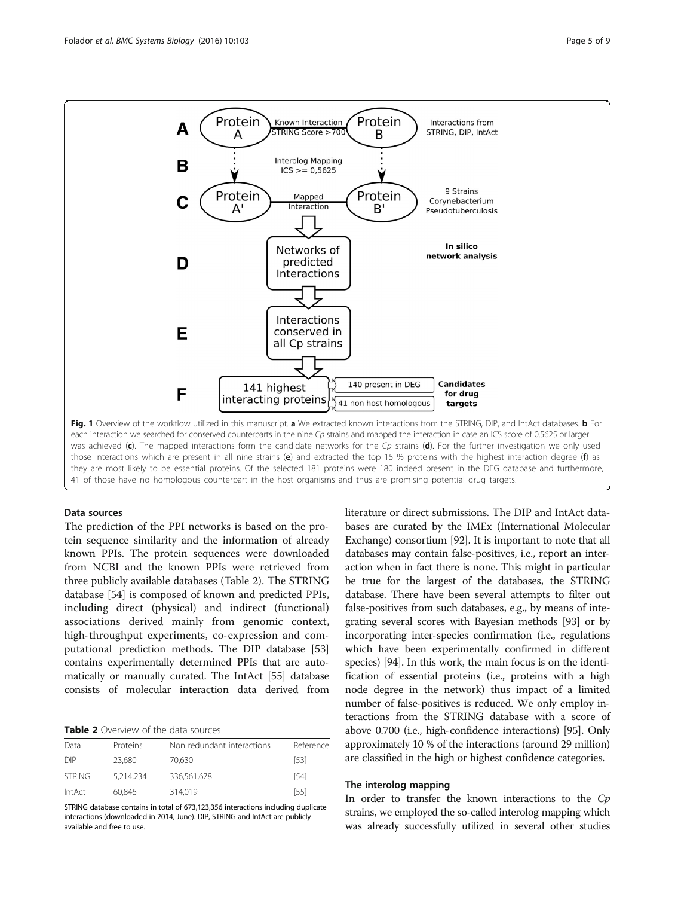<span id="page-4-0"></span>

those interactions which are present in all nine strains (e) and extracted the top 15 % proteins with the highest interaction degree (f) as they are most likely to be essential proteins. Of the selected 181 proteins were 180 indeed present in the DEG database and furthermore, 41 of those have no homologous counterpart in the host organisms and thus are promising potential drug targets.

## Data sources

The prediction of the PPI networks is based on the protein sequence similarity and the information of already known PPIs. The protein sequences were downloaded from NCBI and the known PPIs were retrieved from three publicly available databases (Table 2). The STRING database [\[54\]](#page-7-0) is composed of known and predicted PPIs, including direct (physical) and indirect (functional) associations derived mainly from genomic context, high-throughput experiments, co-expression and computational prediction methods. The DIP database [[53](#page-7-0)] contains experimentally determined PPIs that are automatically or manually curated. The IntAct [\[55\]](#page-7-0) database consists of molecular interaction data derived from

## Table 2 Overview of the data sources

| Data          | Proteins  | Non redundant interactions | Reference |
|---------------|-----------|----------------------------|-----------|
| DIP           | 23.680    | 70.630                     | [53]      |
| <b>STRING</b> | 5.214.234 | 336,561,678                | [54]      |
| IntAct        | 60.846    | 314.019                    | [55]      |

STRING database contains in total of 673,123,356 interactions including duplicate interactions (downloaded in 2014, June). DIP, STRING and IntAct are publicly available and free to use.

literature or direct submissions. The DIP and IntAct databases are curated by the IMEx (International Molecular Exchange) consortium [\[92](#page-8-0)]. It is important to note that all databases may contain false-positives, i.e., report an interaction when in fact there is none. This might in particular be true for the largest of the databases, the STRING database. There have been several attempts to filter out false-positives from such databases, e.g., by means of integrating several scores with Bayesian methods [\[93\]](#page-8-0) or by incorporating inter-species confirmation (i.e., regulations which have been experimentally confirmed in different species) [[94](#page-8-0)]. In this work, the main focus is on the identification of essential proteins (i.e., proteins with a high node degree in the network) thus impact of a limited number of false-positives is reduced. We only employ interactions from the STRING database with a score of above 0.700 (i.e., high-confidence interactions) [\[95](#page-8-0)]. Only approximately 10 % of the interactions (around 29 million) are classified in the high or highest confidence categories.

## The interolog mapping

In order to transfer the known interactions to the  $Cp$ strains, we employed the so-called interolog mapping which was already successfully utilized in several other studies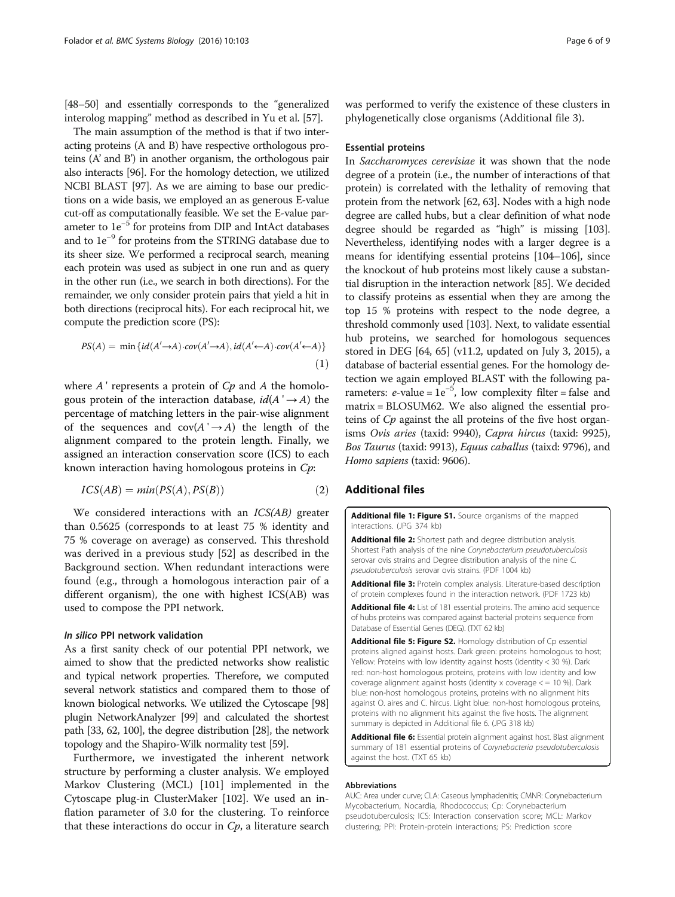<span id="page-5-0"></span>[[48](#page-7-0)–[50](#page-7-0)] and essentially corresponds to the "generalized" interolog mapping" method as described in Yu et al. [\[57\]](#page-7-0).

The main assumption of the method is that if two interacting proteins (A and B) have respective orthologous proteins (A' and B') in another organism, the orthologous pair also interacts [[96](#page-8-0)]. For the homology detection, we utilized NCBI BLAST [\[97\]](#page-8-0). As we are aiming to base our predictions on a wide basis, we employed an as generous E-value cut-off as computationally feasible. We set the E-value parameter to 1e−<sup>5</sup> for proteins from DIP and IntAct databases and to 1e−<sup>9</sup> for proteins from the STRING database due to its sheer size. We performed a reciprocal search, meaning each protein was used as subject in one run and as query in the other run (i.e., we search in both directions). For the remainder, we only consider protein pairs that yield a hit in both directions (reciprocal hits). For each reciprocal hit, we compute the prediction score (PS):

$$
PS(A) = \min \{id(A' \to A) \cdot cov(A' \to A), id(A' \leftarrow A) \cdot cov(A' \leftarrow A)\}\
$$
\n(1)

where  $A'$  represents a protein of  $Cp$  and  $A$  the homologous protein of the interaction database,  $id(A' \rightarrow A)$  the percentage of matching letters in the pair-wise alignment of the sequences and  $cov(A' \rightarrow A)$  the length of the alignment compared to the protein length. Finally, we assigned an interaction conservation score (ICS) to each known interaction having homologous proteins in Cp:

$$
ICS(AB) = min(PS(A), PS(B))
$$
\n(2)

We considered interactions with an *ICS(AB)* greater than 0.5625 (corresponds to at least 75 % identity and 75 % coverage on average) as conserved. This threshold was derived in a previous study [\[52](#page-7-0)] as described in the [Background](#page-0-0) section. When redundant interactions were found (e.g., through a homologous interaction pair of a different organism), the one with highest ICS(AB) was used to compose the PPI network.

## In silico PPI network validation

As a first sanity check of our potential PPI network, we aimed to show that the predicted networks show realistic and typical network properties. Therefore, we computed several network statistics and compared them to those of known biological networks. We utilized the Cytoscape [\[98](#page-8-0)] plugin NetworkAnalyzer [[99](#page-8-0)] and calculated the shortest path [\[33](#page-7-0), [62,](#page-7-0) [100\]](#page-8-0), the degree distribution [[28\]](#page-7-0), the network topology and the Shapiro-Wilk normality test [\[59\]](#page-7-0).

Furthermore, we investigated the inherent network structure by performing a cluster analysis. We employed Markov Clustering (MCL) [[101](#page-8-0)] implemented in the Cytoscape plug-in ClusterMaker [\[102](#page-8-0)]. We used an inflation parameter of 3.0 for the clustering. To reinforce that these interactions do occur in  $C_p$ , a literature search

was performed to verify the existence of these clusters in phylogenetically close organisms (Additional file 3).

## Essential proteins

In Saccharomyces cerevisiae it was shown that the node degree of a protein (i.e., the number of interactions of that protein) is correlated with the lethality of removing that protein from the network [\[62, 63\]](#page-7-0). Nodes with a high node degree are called hubs, but a clear definition of what node degree should be regarded as "high" is missing [[103](#page-8-0)]. Nevertheless, identifying nodes with a larger degree is a means for identifying essential proteins [\[104](#page-8-0)–[106](#page-8-0)], since the knockout of hub proteins most likely cause a substantial disruption in the interaction network [\[85](#page-8-0)]. We decided to classify proteins as essential when they are among the top 15 % proteins with respect to the node degree, a threshold commonly used [\[103](#page-8-0)]. Next, to validate essential hub proteins, we searched for homologous sequences stored in DEG [[64](#page-7-0), [65](#page-7-0)] (v11.2, updated on July 3, 2015), a database of bacterial essential genes. For the homology detection we again employed BLAST with the following parameters:  $e$ -value =  $1e^{-5}$ , low complexity filter = false and matrix = BLOSUM62. We also aligned the essential proteins of Cp against the all proteins of the five host organisms Ovis aries (taxid: 9940), Capra hircus (taxid: 9925), Bos Taurus (taxid: 9913), Equus caballus (taixd: 9796), and Homo sapiens (taxid: 9606).

## Additional files

[Additional file 1: Figure S1.](dx.doi.org/10.1186/s12918-016-0346-4) Source organisms of the mapped interactions. (JPG 374 kb)

[Additional file 2:](dx.doi.org/10.1186/s12918-016-0346-4) Shortest path and degree distribution analysis. Shortest Path analysis of the nine Corynebacterium pseudotuberculosis serovar ovis strains and Degree distribution analysis of the nine C. pseudotuberculosis serovar ovis strains. (PDF 1004 kb)

[Additional file 3:](dx.doi.org/10.1186/s12918-016-0346-4) Protein complex analysis. Literature-based description of protein complexes found in the interaction network. (PDF 1723 kb)

[Additional file 4:](dx.doi.org/10.1186/s12918-016-0346-4) List of 181 essential proteins. The amino acid sequence of hubs proteins was compared against bacterial proteins sequence from Database of Essential Genes (DEG). (TXT 62 kb)

[Additional file 5: Figure S2.](dx.doi.org/10.1186/s12918-016-0346-4) Homology distribution of Cp essential proteins aligned against hosts. Dark green: proteins homologous to host; Yellow: Proteins with low identity against hosts (identity < 30 %). Dark red: non-host homologous proteins, proteins with low identity and low coverage alignment against hosts (identity x coverage  $\lt$  = 10 %). Dark blue: non-host homologous proteins, proteins with no alignment hits against O. aires and C. hircus. Light blue: non-host homologous proteins, proteins with no alignment hits against the five hosts. The alignment summary is depicted in Additional file 6. (JPG 318 kb)

[Additional file 6:](dx.doi.org/10.1186/s12918-016-0346-4) Essential protein alignment against host. Blast alignment summary of 181 essential proteins of Corynebacteria pseudotuberculosis against the host. (TXT 65 kb)

#### Abbreviations

AUC: Area under curve; CLA: Caseous lymphadenitis; CMNR: Corynebacterium Mycobacterium, Nocardia, Rhodococcus; Cp: Corynebacterium pseudotuberculosis; ICS: Interaction conservation score; MCL: Markov clustering; PPI: Protein-protein interactions; PS: Prediction score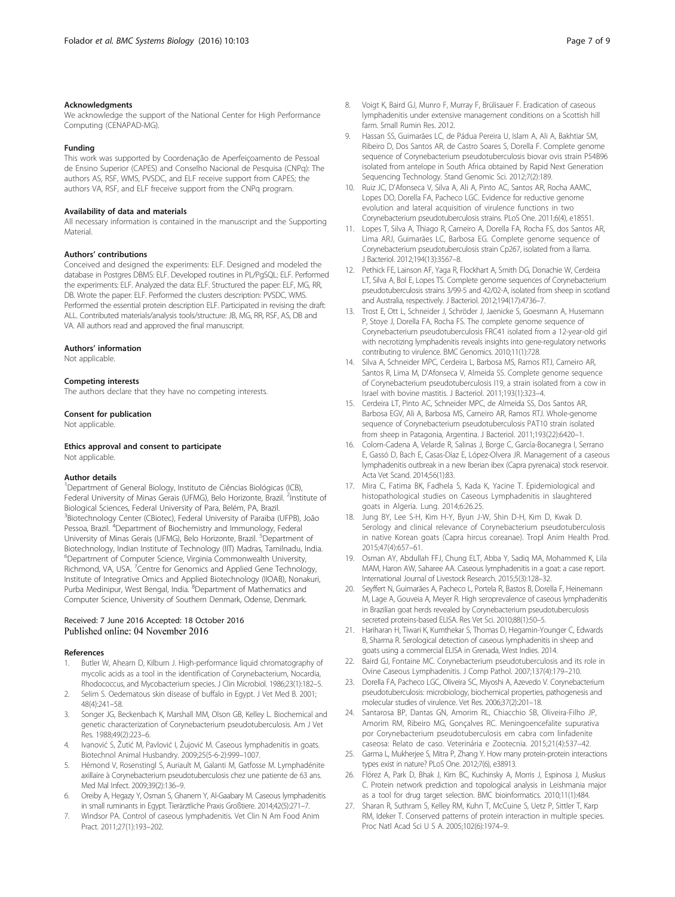#### <span id="page-6-0"></span>Acknowledgments

We acknowledge the support of the National Center for High Performance Computing (CENAPAD-MG).

#### Funding

This work was supported by Coordenação de Aperfeiçoamento de Pessoal de Ensino Superior (CAPES) and Conselho Nacional de Pesquisa (CNPq): The authors AS, RSF, WMS, PVSDC, and ELF receive support from CAPES; the authors VA, RSF, and ELF freceive support from the CNPq program.

#### Availability of data and materials

All necessary information is contained in the manuscript and the Supporting **Material** 

#### Authors' contributions

Conceived and designed the experiments: ELF. Designed and modeled the database in Postgres DBMS: ELF. Developed routines in PL/PgSQL: ELF. Performed the experiments: ELF. Analyzed the data: ELF. Structured the paper: ELF, MG, RR, DB. Wrote the paper: ELF. Performed the clusters description: PVSDC, WMS. Performed the essential protein description ELF. Participated in revising the draft: ALL. Contributed materials/analysis tools/structure: JB, MG, RR, RSF, AS, DB and VA. All authors read and approved the final manuscript.

#### Authors' information

Not applicable.

#### Competing interests

The authors declare that they have no competing interests.

#### Consent for publication

Not applicable.

#### Ethics approval and consent to participate

Not applicable

#### Author details

<sup>1</sup>Department of General Biology, Instituto de Ciências Biológicas (ICB), Federal University of Minas Gerais (UFMG), Belo Horizonte, Brazil. <sup>2</sup>Institute of Biological Sciences, Federal University of Para, Belém, PA, Brazil. <sup>3</sup>Biotechnology Center (CBiotec), Federal University of Paraiba (UFPB), João Pessoa, Brazil. <sup>4</sup>Department of Biochemistry and Immunology, Federal University of Minas Gerais (UFMG), Belo Horizonte, Brazil. <sup>5</sup> Department of Biotechnology, Indian Institute of Technology (IIT) Madras, Tamilnadu, India. 6 Department of Computer Science, Virginia Commonwealth University, Richmond, VA, USA. <sup>7</sup>Centre for Genomics and Applied Gene Technology, Institute of Integrative Omics and Applied Biotechnology (IIOAB), Nonakuri, Purba Medinipur, West Bengal, India. <sup>8</sup>Department of Mathematics and Computer Science, University of Southern Denmark, Odense, Denmark.

## Received: 7 June 2016 Accepted: 18 October 2016 Published online: 04 November 2016

#### References

- Butler W, Ahearn D, Kilburn J. High-performance liquid chromatography of mycolic acids as a tool in the identification of Corynebacterium, Nocardia, Rhodococcus, and Mycobacterium species. J Clin Microbiol. 1986;23(1):182–5.
- 2. Selim S. Oedematous skin disease of buffalo in Egypt. J Vet Med B. 2001; 48(4):241–58.
- 3. Songer JG, Beckenbach K, Marshall MM, Olson GB, Kelley L. Biochemical and genetic characterization of Corynebacterium pseudotuberculosis. Am J Vet Res. 1988;49(2):223–6.
- 4. Ivanović S, Žutić M, Pavlović I, Žujović M. Caseous lymphadenitis in goats. Biotechnol Animal Husbandry. 2009;25(5-6-2):999–1007.
- 5. Hémond V, Rosenstingl S, Auriault M, Galanti M, Gatfosse M. Lymphadénite axillaire à Corynebacterium pseudotuberculosis chez une patiente de 63 ans. Med Mal Infect. 2009;39(2):136–9.
- 6. Oreiby A, Hegazy Y, Osman S, Ghanem Y, Al-Gaabary M. Caseous lymphadenitis in small ruminants in Egypt. Tierärztliche Praxis Großtiere. 2014;42(5):271–7.
- 7. Windsor PA. Control of caseous lymphadenitis. Vet Clin N Am Food Anim Pract. 2011;27(1):193–202.
- 8. Voigt K, Baird GJ, Munro F, Murray F, Brülisauer F. Eradication of caseous lymphadenitis under extensive management conditions on a Scottish hill farm. Small Rumin Res. 2012.
- 9. Hassan SS, Guimarães LC, de Pádua Pereira U, Islam A, Ali A, Bakhtiar SM, Ribeiro D, Dos Santos AR, de Castro Soares S, Dorella F. Complete genome sequence of Corynebacterium pseudotuberculosis biovar ovis strain P54B96 isolated from antelope in South Africa obtained by Rapid Next Generation Sequencing Technology. Stand Genomic Sci. 2012;7(2):189.
- 10. Ruiz JC, D'Afonseca V, Silva A, Ali A, Pinto AC, Santos AR, Rocha AAMC, Lopes DO, Dorella FA, Pacheco LGC. Evidence for reductive genome evolution and lateral acquisition of virulence functions in two Corynebacterium pseudotuberculosis strains. PLoS One. 2011;6(4), e18551.
- 11. Lopes T, Silva A, Thiago R, Carneiro A, Dorella FA, Rocha FS, dos Santos AR, Lima ARJ, Guimarães LC, Barbosa EG. Complete genome sequence of Corynebacterium pseudotuberculosis strain Cp267, isolated from a llama. J Bacteriol. 2012;194(13):3567–8.
- 12. Pethick FE, Lainson AF, Yaga R, Flockhart A, Smith DG, Donachie W, Cerdeira LT, Silva A, Bol E, Lopes TS. Complete genome sequences of Corynebacterium pseudotuberculosis strains 3/99-5 and 42/02-A, isolated from sheep in scotland and Australia, respectively. J Bacteriol. 2012;194(17):4736–7.
- 13. Trost E, Ott L, Schneider J, Schröder J, Jaenicke S, Goesmann A, Husemann P, Stoye J, Dorella FA, Rocha FS. The complete genome sequence of Corynebacterium pseudotuberculosis FRC41 isolated from a 12-year-old girl with necrotizing lymphadenitis reveals insights into gene-regulatory networks contributing to virulence. BMC Genomics. 2010;11(1):728.
- 14. Silva A, Schneider MPC, Cerdeira L, Barbosa MS, Ramos RTJ, Carneiro AR, Santos R, Lima M, D'Afonseca V, Almeida SS. Complete genome sequence of Corynebacterium pseudotuberculosis I19, a strain isolated from a cow in Israel with bovine mastitis. J Bacteriol. 2011;193(1):323–4.
- 15. Cerdeira LT, Pinto AC, Schneider MPC, de Almeida SS, Dos Santos AR, Barbosa EGV, Ali A, Barbosa MS, Carneiro AR, Ramos RTJ. Whole-genome sequence of Corynebacterium pseudotuberculosis PAT10 strain isolated from sheep in Patagonia, Argentina. J Bacteriol. 2011;193(22):6420–1.
- 16. Colom-Cadena A, Velarde R, Salinas J, Borge C, García-Bocanegra I, Serrano E, Gassó D, Bach E, Casas-Díaz E, López-Olvera JR. Management of a caseous lymphadenitis outbreak in a new Iberian ibex (Capra pyrenaica) stock reservoir. Acta Vet Scand. 2014;56(1):83.
- 17. Mira C, Fatima BK, Fadhela S, Kada K, Yacine T. Epidemiological and histopathological studies on Caseous Lymphadenitis in slaughtered goats in Algeria. Lung. 2014;6:26.25.
- 18. Jung BY, Lee S-H, Kim H-Y, Byun J-W, Shin D-H, Kim D, Kwak D. Serology and clinical relevance of Corynebacterium pseudotuberculosis in native Korean goats (Capra hircus coreanae). Tropl Anim Health Prod. 2015;47(4):657–61.
- 19. Osman AY, Abdullah FFJ, Chung ELT, Abba Y, Sadiq MA, Mohammed K, Lila MAM, Haron AW, Saharee AA. Caseous lymphadenitis in a goat: a case report. International Journal of Livestock Research. 2015;5(3):128–32.
- 20. Seyffert N, Guimarães A, Pacheco L, Portela R, Bastos B, Dorella F, Heinemann M, Lage A, Gouveia A, Meyer R. High seroprevalence of caseous lymphadenitis in Brazilian goat herds revealed by Corynebacterium pseudotuberculosis secreted proteins-based ELISA. Res Vet Sci. 2010;88(1):50–5.
- 21. Hariharan H, Tiwari K, Kumthekar S, Thomas D, Hegamin-Younger C, Edwards B, Sharma R. Serological detection of caseous lymphadenitis in sheep and goats using a commercial ELISA in Grenada, West Indies. 2014.
- 22. Baird GJ, Fontaine MC. Corynebacterium pseudotuberculosis and its role in Ovine Caseous Lymphadenitis. J Comp Pathol. 2007;137(4):179–210.
- 23. Dorella FA, Pacheco LGC, Oliveira SC, Miyoshi A, Azevedo V. Corynebacterium pseudotuberculosis: microbiology, biochemical properties, pathogenesis and molecular studies of virulence. Vet Res. 2006;37(2):201–18.
- 24. Santarosa BP, Dantas GN, Amorim RL, Chiacchio SB, Oliveira-Filho JP, Amorim RM, Ribeiro MG, Gonçalves RC. Meningoencefalite supurativa por Corynebacterium pseudotuberculosis em cabra com linfadenite caseosa: Relato de caso. Veterinária e Zootecnia. 2015;21(4):537–42.
- 25. Garma L, Mukherjee S, Mitra P, Zhang Y. How many protein-protein interactions types exist in nature? PLoS One. 2012;7(6), e38913.
- 26. Flórez A, Park D, Bhak J, Kim BC, Kuchinsky A, Morris J, Espinosa J, Muskus C. Protein network prediction and topological analysis in Leishmania major as a tool for drug target selection. BMC bioinformatics. 2010;11(1):484.
- 27. Sharan R, Suthram S, Kelley RM, Kuhn T, McCuine S, Uetz P, Sittler T, Karp RM, Ideker T. Conserved patterns of protein interaction in multiple species. Proc Natl Acad Sci U S A. 2005;102(6):1974–9.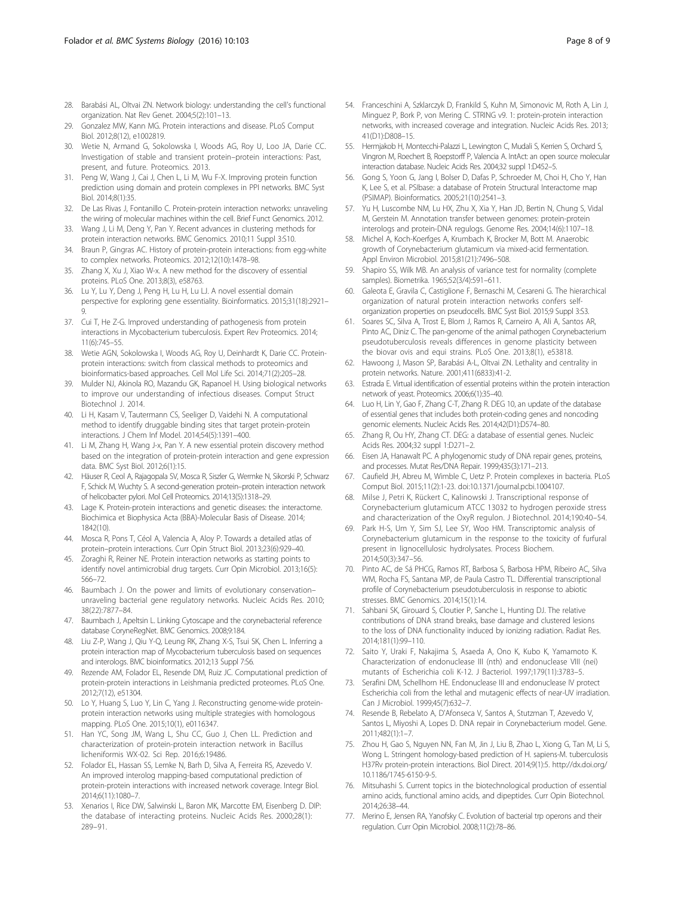- <span id="page-7-0"></span>28. Barabási AL, Oltvai ZN. Network biology: understanding the cell's functional organization. Nat Rev Genet. 2004;5(2):101–13.
- 29. Gonzalez MW, Kann MG. Protein interactions and disease. PLoS Comput Biol. 2012;8(12), e1002819.
- 30. Wetie N, Armand G, Sokolowska I, Woods AG, Roy U, Loo JA, Darie CC. Investigation of stable and transient protein–protein interactions: Past, present, and future. Proteomics. 2013.
- 31. Peng W, Wang J, Cai J, Chen L, Li M, Wu F-X. Improving protein function prediction using domain and protein complexes in PPI networks. BMC Syst Biol. 2014;8(1):35.
- 32. De Las Rivas J, Fontanillo C. Protein-protein interaction networks: unraveling the wiring of molecular machines within the cell. Brief Funct Genomics. 2012.
- 33. Wang J, Li M, Deng Y, Pan Y. Recent advances in clustering methods for protein interaction networks. BMC Genomics. 2010;11 Suppl 3:S10.
- 34. Braun P, Gingras AC. History of protein-protein interactions: from egg-white to complex networks. Proteomics. 2012;12(10):1478–98.
- 35. Zhang X, Xu J, Xiao W-x. A new method for the discovery of essential proteins. PLoS One. 2013;8(3), e58763.
- 36. Lu Y, Lu Y, Deng J, Peng H, Lu H, Lu LJ. A novel essential domain perspective for exploring gene essentiality. Bioinformatics. 2015;31(18):2921– 9.
- 37. Cui T, He Z-G. Improved understanding of pathogenesis from protein interactions in Mycobacterium tuberculosis. Expert Rev Proteomics. 2014; 11(6):745–55.
- 38. Wetie AGN, Sokolowska I, Woods AG, Roy U, Deinhardt K, Darie CC. Proteinprotein interactions: switch from classical methods to proteomics and bioinformatics-based approaches. Cell Mol Life Sci. 2014;71(2):205–28.
- 39. Mulder NJ, Akinola RO, Mazandu GK, Rapanoel H. Using biological networks to improve our understanding of infectious diseases. Comput Struct Biotechnol J. 2014.
- 40. Li H, Kasam V, Tautermann CS, Seeliger D, Vaidehi N. A computational method to identify druggable binding sites that target protein-protein interactions. J Chem Inf Model. 2014;54(5):1391–400.
- 41. Li M, Zhang H, Wang J-x, Pan Y. A new essential protein discovery method based on the integration of protein-protein interaction and gene expression data. BMC Syst Biol. 2012;6(1):15.
- 42. Häuser R, Ceol A, Rajagopala SV, Mosca R, Siszler G, Wermke N, Sikorski P, Schwarz F, Schick M, Wuchty S. A second-generation protein–protein interaction network of helicobacter pylori. Mol Cell Proteomics. 2014;13(5):1318–29.
- 43. Lage K. Protein-protein interactions and genetic diseases: the interactome. Biochimica et Biophysica Acta (BBA)-Molecular Basis of Disease. 2014; 1842(10).
- 44. Mosca R, Pons T, Céol A, Valencia A, Aloy P. Towards a detailed atlas of protein–protein interactions. Curr Opin Struct Biol. 2013;23(6):929–40.
- 45. Zoraghi R, Reiner NE. Protein interaction networks as starting points to identify novel antimicrobial drug targets. Curr Opin Microbiol. 2013;16(5): 566–72.
- 46. Baumbach J. On the power and limits of evolutionary conservation– unraveling bacterial gene regulatory networks. Nucleic Acids Res. 2010; 38(22):7877–84.
- 47. Baumbach J, Apeltsin L. Linking Cytoscape and the corynebacterial reference database CoryneRegNet. BMC Genomics. 2008;9:184.
- 48. Liu Z-P, Wang J, Qiu Y-Q, Leung RK, Zhang X-S, Tsui SK, Chen L. Inferring a protein interaction map of Mycobacterium tuberculosis based on sequences and interologs. BMC bioinformatics. 2012;13 Suppl 7:S6.
- 49. Rezende AM, Folador EL, Resende DM, Ruiz JC. Computational prediction of protein-protein interactions in Leishmania predicted proteomes. PLoS One. 2012;7(12), e51304.
- 50. Lo Y, Huang S, Luo Y, Lin C, Yang J. Reconstructing genome-wide proteinprotein interaction networks using multiple strategies with homologous mapping. PLoS One. 2015;10(1), e0116347.
- 51. Han YC, Song JM, Wang L, Shu CC, Guo J, Chen LL. Prediction and characterization of protein-protein interaction network in Bacillus licheniformis WX-02. Sci Rep. 2016;6:19486.
- 52. Folador EL, Hassan SS, Lemke N, Barh D, Silva A, Ferreira RS, Azevedo V. An improved interolog mapping-based computational prediction of protein-protein interactions with increased network coverage. Integr Biol. 2014;6(11):1080–7.
- 53. Xenarios I, Rice DW, Salwinski L, Baron MK, Marcotte EM, Eisenberg D. DIP: the database of interacting proteins. Nucleic Acids Res. 2000;28(1): 289–91.
- 54. Franceschini A, Szklarczyk D, Frankild S, Kuhn M, Simonovic M, Roth A, Lin J, Minguez P, Bork P, von Mering C. STRING v9. 1: protein-protein interaction networks, with increased coverage and integration. Nucleic Acids Res. 2013; 41(D1):D808–15.
- 55. Hermjakob H, Montecchi-Palazzi L, Lewington C, Mudali S, Kerrien S, Orchard S, Vingron M, Roechert B, Roepstorff P, Valencia A. IntAct: an open source molecular interaction database. Nucleic Acids Res. 2004;32 suppl 1:D452–5.
- 56. Gong S, Yoon G, Jang I, Bolser D, Dafas P, Schroeder M, Choi H, Cho Y, Han K, Lee S, et al. PSIbase: a database of Protein Structural Interactome map (PSIMAP). Bioinformatics. 2005;21(10):2541–3.
- 57. Yu H, Luscombe NM, Lu HX, Zhu X, Xia Y, Han JD, Bertin N, Chung S, Vidal M, Gerstein M. Annotation transfer between genomes: protein-protein interologs and protein-DNA regulogs. Genome Res. 2004;14(6):1107–18.
- 58. Michel A, Koch-Koerfges A, Krumbach K, Brocker M, Bott M. Anaerobic growth of Corynebacterium glutamicum via mixed-acid fermentation. Appl Environ Microbiol. 2015;81(21):7496–508.
- 59. Shapiro SS, Wilk MB. An analysis of variance test for normality (complete samples). Biometrika. 1965;52(3/4):591–611.
- 60. Galeota E, Gravila C, Castiglione F, Bernaschi M, Cesareni G. The hierarchical organization of natural protein interaction networks confers selforganization properties on pseudocells. BMC Syst Biol. 2015;9 Suppl 3:S3.
- 61. Soares SC, Silva A, Trost E, Blom J, Ramos R, Carneiro A, Ali A, Santos AR, Pinto AC, Diniz C. The pan-genome of the animal pathogen Corynebacterium pseudotuberculosis reveals differences in genome plasticity between the biovar ovis and equi strains. PLoS One. 2013;8(1), e53818.
- 62. Hawoong J, Mason SP, Barabási A-L, Oltvai ZN. Lethality and centrality in protein networks. Nature. 2001;411(6833):41-2.
- 63. Estrada E. Virtual identification of essential proteins within the protein interaction network of yeast. Proteomics. 2006;6(1):35–40.
- 64. Luo H, Lin Y, Gao F, Zhang C-T, Zhang R. DEG 10, an update of the database of essential genes that includes both protein-coding genes and noncoding genomic elements. Nucleic Acids Res. 2014;42(D1):D574–80.
- 65. Zhang R, Ou HY, Zhang CT. DEG: a database of essential genes. Nucleic Acids Res. 2004;32 suppl 1:D271–2.
- 66. Eisen JA, Hanawalt PC. A phylogenomic study of DNA repair genes, proteins, and processes. Mutat Res/DNA Repair. 1999;435(3):171–213.
- 67. Caufield JH, Abreu M, Wimble C, Uetz P. Protein complexes in bacteria. PLoS Comput Biol. 2015;11(2):1-23. doi:[10.1371/journal.pcbi.1004107.](http://dx.doi.org/10.1371/journal.pcbi.1004107)
- 68. Milse J, Petri K, Rückert C, Kalinowski J. Transcriptional response of Corynebacterium glutamicum ATCC 13032 to hydrogen peroxide stress and characterization of the OxyR regulon. J Biotechnol. 2014;190:40–54.
- 69. Park H-S, Um Y, Sim SJ, Lee SY, Woo HM. Transcriptomic analysis of Corynebacterium glutamicum in the response to the toxicity of furfural present in lignocellulosic hydrolysates. Process Biochem. 2014;50(3):347–56.
- 70. Pinto AC, de Sá PHCG, Ramos RT, Barbosa S, Barbosa HPM, Ribeiro AC, Silva WM, Rocha FS, Santana MP, de Paula Castro TL. Differential transcriptional profile of Corynebacterium pseudotuberculosis in response to abiotic stresses. BMC Genomics. 2014;15(1):14.
- 71. Sahbani SK, Girouard S, Cloutier P, Sanche L, Hunting DJ. The relative contributions of DNA strand breaks, base damage and clustered lesions to the loss of DNA functionality induced by ionizing radiation. Radiat Res. 2014;181(1):99–110.
- 72. Saito Y, Uraki F, Nakajima S, Asaeda A, Ono K, Kubo K, Yamamoto K. Characterization of endonuclease III (nth) and endonuclease VIII (nei) mutants of Escherichia coli K-12. J Bacteriol. 1997;179(11):3783–5.
- 73. Serafini DM, Schellhorn HE. Endonuclease III and endonuclease IV protect Escherichia coli from the lethal and mutagenic effects of near-UV irradiation. Can J Microbiol. 1999;45(7):632–7.
- 74. Resende B, Rebelato A, D'Afonseca V, Santos A, Stutzman T, Azevedo V, Santos L, Miyoshi A, Lopes D. DNA repair in Corynebacterium model. Gene. 2011;482(1):1–7.
- 75. Zhou H, Gao S, Nguyen NN, Fan M, Jin J, Liu B, Zhao L, Xiong G, Tan M, Li S, Wong L. Stringent homology-based prediction of H. sapiens-M. tuberculosis H37Rv protein-protein interactions. Biol Direct. 2014;9(1):5. [http://dx.doi.org/](http://dx.doi.org/10.1186/1745-6150-9-5) [10.1186/1745-6150-9-5](http://dx.doi.org/10.1186/1745-6150-9-5).
- 76. Mitsuhashi S. Current topics in the biotechnological production of essential amino acids, functional amino acids, and dipeptides. Curr Opin Biotechnol. 2014;26:38–44.
- 77. Merino E, Jensen RA, Yanofsky C. Evolution of bacterial trp operons and their regulation. Curr Opin Microbiol. 2008;11(2):78–86.